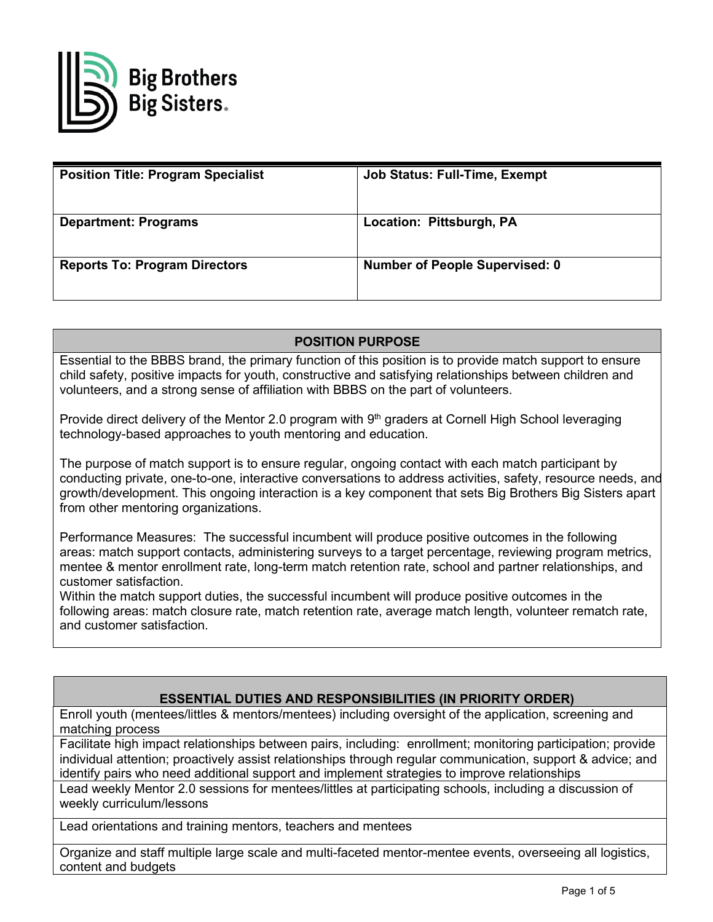

| <b>Position Title: Program Specialist</b> | <b>Job Status: Full-Time, Exempt</b>  |
|-------------------------------------------|---------------------------------------|
| <b>Department: Programs</b>               | Location: Pittsburgh, PA              |
| <b>Reports To: Program Directors</b>      | <b>Number of People Supervised: 0</b> |

# **POSITION PURPOSE**

Essential to the BBBS brand, the primary function of this position is to provide match support to ensure child safety, positive impacts for youth, constructive and satisfying relationships between children and volunteers, and a strong sense of affiliation with BBBS on the part of volunteers.

Provide direct delivery of the Mentor 2.0 program with 9<sup>th</sup> graders at Cornell High School leveraging technology-based approaches to youth mentoring and education.

The purpose of match support is to ensure regular, ongoing contact with each match participant by conducting private, one-to-one, interactive conversations to address activities, safety, resource needs, and growth/development. This ongoing interaction is a key component that sets Big Brothers Big Sisters apart from other mentoring organizations.

Performance Measures: The successful incumbent will produce positive outcomes in the following areas: match support contacts, administering surveys to a target percentage, reviewing program metrics, mentee & mentor enrollment rate, long-term match retention rate, school and partner relationships, and customer satisfaction.

Within the match support duties, the successful incumbent will produce positive outcomes in the following areas: match closure rate, match retention rate, average match length, volunteer rematch rate, and customer satisfaction.

## **ESSENTIAL DUTIES AND RESPONSIBILITIES (IN PRIORITY ORDER)**

Enroll youth (mentees/littles & mentors/mentees) including oversight of the application, screening and matching process

Facilitate high impact relationships between pairs, including: enrollment; monitoring participation; provide individual attention; proactively assist relationships through regular communication, support & advice; and identify pairs who need additional support and implement strategies to improve relationships

Lead weekly Mentor 2.0 sessions for mentees/littles at participating schools, including a discussion of weekly curriculum/lessons

Lead orientations and training mentors, teachers and mentees

Organize and staff multiple large scale and multi-faceted mentor-mentee events, overseeing all logistics, content and budgets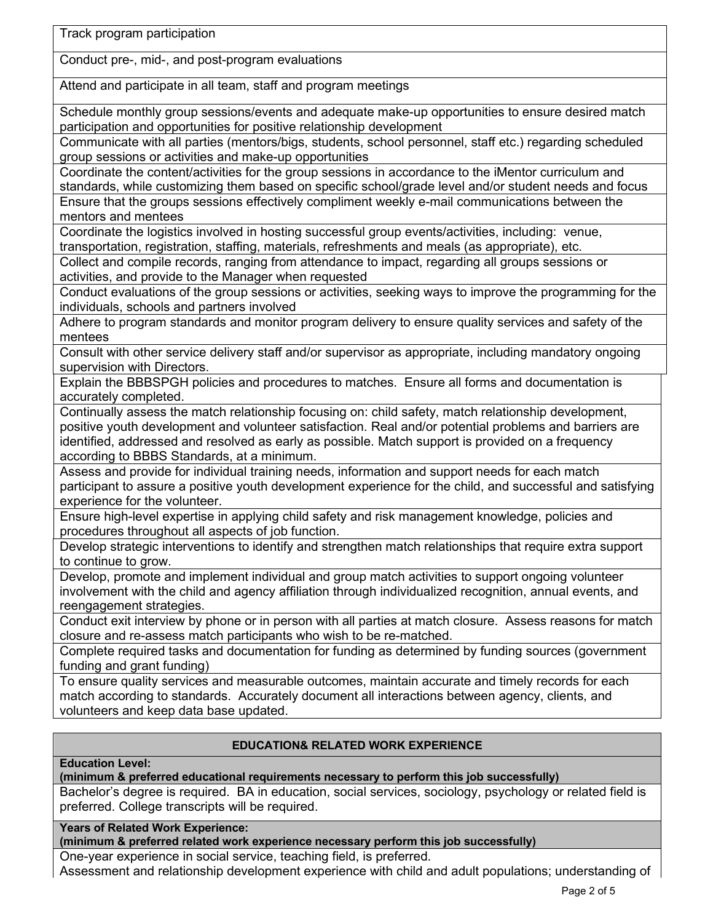Track program participation

Conduct pre-, mid-, and post-program evaluations

Attend and participate in all team, staff and program meetings

Schedule monthly group sessions/events and adequate make-up opportunities to ensure desired match participation and opportunities for positive relationship development

Communicate with all parties (mentors/bigs, students, school personnel, staff etc.) regarding scheduled group sessions or activities and make-up opportunities

Coordinate the content/activities for the group sessions in accordance to the iMentor curriculum and standards, while customizing them based on specific school/grade level and/or student needs and focus Ensure that the groups sessions effectively compliment weekly e-mail communications between the mentors and mentees

Coordinate the logistics involved in hosting successful group events/activities, including: venue, transportation, registration, staffing, materials, refreshments and meals (as appropriate), etc.

Collect and compile records, ranging from attendance to impact, regarding all groups sessions or activities, and provide to the Manager when requested

Conduct evaluations of the group sessions or activities, seeking ways to improve the programming for the individuals, schools and partners involved

Adhere to program standards and monitor program delivery to ensure quality services and safety of the mentees

Consult with other service delivery staff and/or supervisor as appropriate, including mandatory ongoing supervision with Directors.

Explain the BBBSPGH policies and procedures to matches. Ensure all forms and documentation is accurately completed.

Continually assess the match relationship focusing on: child safety, match relationship development, positive youth development and volunteer satisfaction. Real and/or potential problems and barriers are identified, addressed and resolved as early as possible. Match support is provided on a frequency according to BBBS Standards, at a minimum.

Assess and provide for individual training needs, information and support needs for each match participant to assure a positive youth development experience for the child, and successful and satisfying experience for the volunteer.

Ensure high-level expertise in applying child safety and risk management knowledge, policies and procedures throughout all aspects of job function.

Develop strategic interventions to identify and strengthen match relationships that require extra support to continue to grow.

Develop, promote and implement individual and group match activities to support ongoing volunteer involvement with the child and agency affiliation through individualized recognition, annual events, and reengagement strategies.

Conduct exit interview by phone or in person with all parties at match closure. Assess reasons for match closure and re-assess match participants who wish to be re-matched.

Complete required tasks and documentation for funding as determined by funding sources (government funding and grant funding)

To ensure quality services and measurable outcomes, maintain accurate and timely records for each match according to standards. Accurately document all interactions between agency, clients, and volunteers and keep data base updated.

## **EDUCATION& RELATED WORK EXPERIENCE**

**Education Level:** 

**(minimum & preferred educational requirements necessary to perform this job successfully)**

Bachelor's degree is required. BA in education, social services, sociology, psychology or related field is preferred. College transcripts will be required.

**Years of Related Work Experience:**

**(minimum & preferred related work experience necessary perform this job successfully)**

One-year experience in social service, teaching field, is preferred.

Assessment and relationship development experience with child and adult populations; understanding of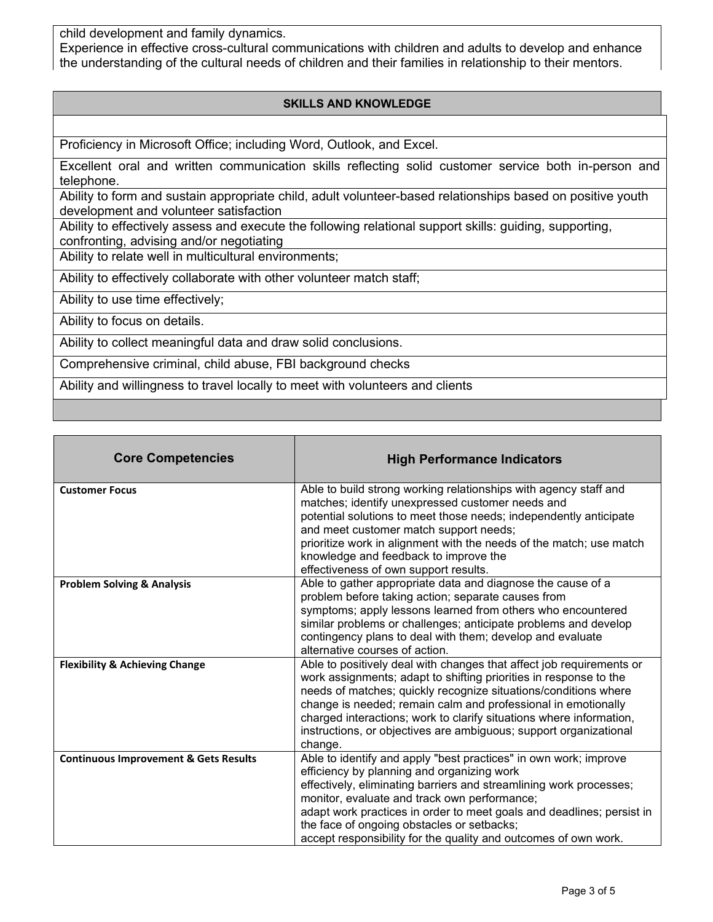child development and family dynamics.

Experience in effective cross-cultural communications with children and adults to develop and enhance the understanding of the cultural needs of children and their families in relationship to their mentors.

## **SKILLS AND KNOWLEDGE**

Proficiency in Microsoft Office; including Word, Outlook, and Excel.

Excellent oral and written communication skills reflecting solid customer service both in-person and telephone.

Ability to form and sustain appropriate child, adult volunteer-based relationships based on positive youth development and volunteer satisfaction

Ability to effectively assess and execute the following relational support skills: guiding, supporting, confronting, advising and/or negotiating

Ability to relate well in multicultural environments;

Ability to effectively collaborate with other volunteer match staff;

Ability to use time effectively;

Ability to focus on details.

Ability to collect meaningful data and draw solid conclusions.

Comprehensive criminal, child abuse, FBI background checks

Ability and willingness to travel locally to meet with volunteers and clients

| <b>Core Competencies</b>                         | <b>High Performance Indicators</b>                                                                                                                                                                                                                                                                                                                                                                                                   |
|--------------------------------------------------|--------------------------------------------------------------------------------------------------------------------------------------------------------------------------------------------------------------------------------------------------------------------------------------------------------------------------------------------------------------------------------------------------------------------------------------|
| <b>Customer Focus</b>                            | Able to build strong working relationships with agency staff and<br>matches; identify unexpressed customer needs and<br>potential solutions to meet those needs; independently anticipate<br>and meet customer match support needs;<br>prioritize work in alignment with the needs of the match; use match<br>knowledge and feedback to improve the<br>effectiveness of own support results.                                         |
| <b>Problem Solving &amp; Analysis</b>            | Able to gather appropriate data and diagnose the cause of a<br>problem before taking action; separate causes from<br>symptoms; apply lessons learned from others who encountered<br>similar problems or challenges; anticipate problems and develop<br>contingency plans to deal with them; develop and evaluate<br>alternative courses of action.                                                                                   |
| <b>Flexibility &amp; Achieving Change</b>        | Able to positively deal with changes that affect job requirements or<br>work assignments; adapt to shifting priorities in response to the<br>needs of matches; quickly recognize situations/conditions where<br>change is needed; remain calm and professional in emotionally<br>charged interactions; work to clarify situations where information,<br>instructions, or objectives are ambiguous; support organizational<br>change. |
| <b>Continuous Improvement &amp; Gets Results</b> | Able to identify and apply "best practices" in own work; improve<br>efficiency by planning and organizing work<br>effectively, eliminating barriers and streamlining work processes;<br>monitor, evaluate and track own performance;<br>adapt work practices in order to meet goals and deadlines; persist in<br>the face of ongoing obstacles or setbacks;<br>accept responsibility for the quality and outcomes of own work.       |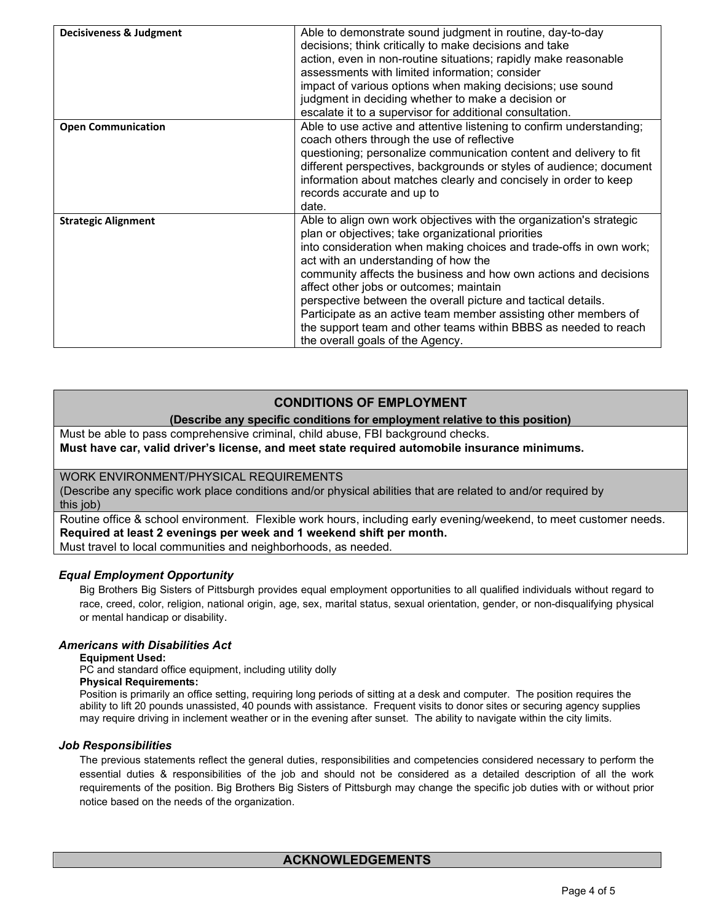| Decisiveness & Judgment    | Able to demonstrate sound judgment in routine, day-to-day<br>decisions; think critically to make decisions and take<br>action, even in non-routine situations; rapidly make reasonable<br>assessments with limited information; consider<br>impact of various options when making decisions; use sound<br>judgment in deciding whether to make a decision or<br>escalate it to a supervisor for additional consultation.                                                                                                                                                                          |
|----------------------------|---------------------------------------------------------------------------------------------------------------------------------------------------------------------------------------------------------------------------------------------------------------------------------------------------------------------------------------------------------------------------------------------------------------------------------------------------------------------------------------------------------------------------------------------------------------------------------------------------|
| <b>Open Communication</b>  | Able to use active and attentive listening to confirm understanding;<br>coach others through the use of reflective<br>questioning; personalize communication content and delivery to fit<br>different perspectives, backgrounds or styles of audience; document<br>information about matches clearly and concisely in order to keep<br>records accurate and up to<br>date.                                                                                                                                                                                                                        |
| <b>Strategic Alignment</b> | Able to align own work objectives with the organization's strategic<br>plan or objectives; take organizational priorities<br>into consideration when making choices and trade-offs in own work;<br>act with an understanding of how the<br>community affects the business and how own actions and decisions<br>affect other jobs or outcomes; maintain<br>perspective between the overall picture and tactical details.<br>Participate as an active team member assisting other members of<br>the support team and other teams within BBBS as needed to reach<br>the overall goals of the Agency. |

## **CONDITIONS OF EMPLOYMENT**

## **(Describe any specific conditions for employment relative to this position)**

Must be able to pass comprehensive criminal, child abuse, FBI background checks.

### **Must have car, valid driver's license, and meet state required automobile insurance minimums.**

## WORK ENVIRONMENT/PHYSICAL REQUIREMENTS

(Describe any specific work place conditions and/or physical abilities that are related to and/or required by this *job*)

Routine office & school environment. Flexible work hours, including early evening/weekend, to meet customer needs. **Required at least 2 evenings per week and 1 weekend shift per month.** Must travel to local communities and neighborhoods, as needed.

### *Equal Employment Opportunity*

Big Brothers Big Sisters of Pittsburgh provides equal employment opportunities to all qualified individuals without regard to race, creed, color, religion, national origin, age, sex, marital status, sexual orientation, gender, or non-disqualifying physical or mental handicap or disability.

### *Americans with Disabilities Act*

### **Equipment Used:**

PC and standard office equipment, including utility dolly

### **Physical Requirements:**

Position is primarily an office setting, requiring long periods of sitting at a desk and computer. The position requires the ability to lift 20 pounds unassisted, 40 pounds with assistance. Frequent visits to donor sites or securing agency supplies may require driving in inclement weather or in the evening after sunset. The ability to navigate within the city limits.

### *Job Responsibilities*

The previous statements reflect the general duties, responsibilities and competencies considered necessary to perform the essential duties & responsibilities of the job and should not be considered as a detailed description of all the work requirements of the position. Big Brothers Big Sisters of Pittsburgh may change the specific job duties with or without prior notice based on the needs of the organization.